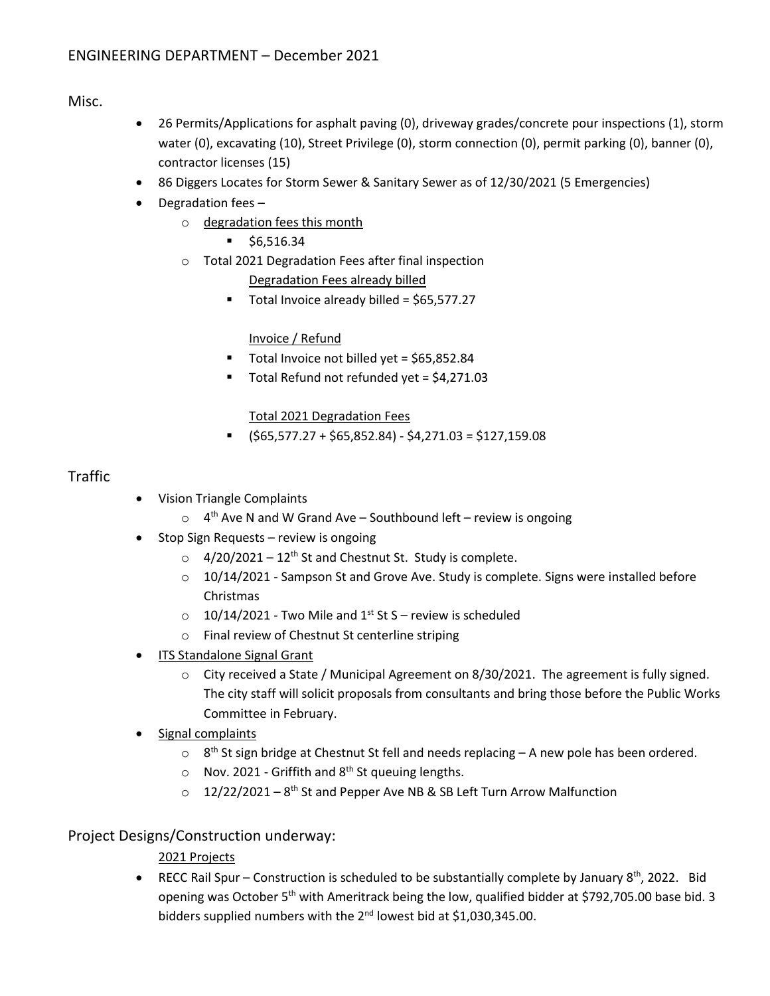Misc.

- 26 Permits/Applications for asphalt paving (0), driveway grades/concrete pour inspections (1), storm water (0), excavating (10), Street Privilege (0), storm connection (0), permit parking (0), banner (0), contractor licenses (15)
- 86 Diggers Locates for Storm Sewer & Sanitary Sewer as of 12/30/2021 (5 Emergencies)
- $\bullet$  Degradation fees  $$ 
	- o degradation fees this month
		- $\bullet$  \$6,516.34
	- o Total 2021 Degradation Fees after final inspection

Degradation Fees already billed

Total Invoice already billed = \$65,577.27

Invoice / Refund

- Total Invoice not billed yet = \$65,852.84
- Total Refund not refunded yet = \$4,271.03

Total 2021 Degradation Fees

 $\bullet$  (\$65,577.27 + \$65,852.84) - \$4,271.03 = \$127,159.08

## Traffic

- Vision Triangle Complaints
	- $\circ$  4<sup>th</sup> Ave N and W Grand Ave Southbound left review is ongoing
- Stop Sign Requests review is ongoing
	- $\circ$  4/20/2021 12<sup>th</sup> St and Chestnut St. Study is complete.
	- $\circ$  10/14/2021 Sampson St and Grove Ave. Study is complete. Signs were installed before Christmas
	- $\degree$  10/14/2021 Two Mile and 1<sup>st</sup> St S review is scheduled
	- o Final review of Chestnut St centerline striping
- ITS Standalone Signal Grant
	- $\circ$  City received a State / Municipal Agreement on 8/30/2021. The agreement is fully signed. The city staff will solicit proposals from consultants and bring those before the Public Works Committee in February.
- Signal complaints
	- $\circ$  8<sup>th</sup> St sign bridge at Chestnut St fell and needs replacing A new pole has been ordered.
	- $\circ$  Nov. 2021 Griffith and 8<sup>th</sup> St queuing lengths.
	- $\circ$  12/22/2021 8<sup>th</sup> St and Pepper Ave NB & SB Left Turn Arrow Malfunction

# Project Designs/Construction underway:

2021 Projects

**•** RECC Rail Spur – Construction is scheduled to be substantially complete by January  $8<sup>th</sup>$ , 2022. Bid opening was October 5<sup>th</sup> with Ameritrack being the low, qualified bidder at \$792,705.00 base bid. 3 bidders supplied numbers with the 2<sup>nd</sup> lowest bid at \$1,030,345.00.